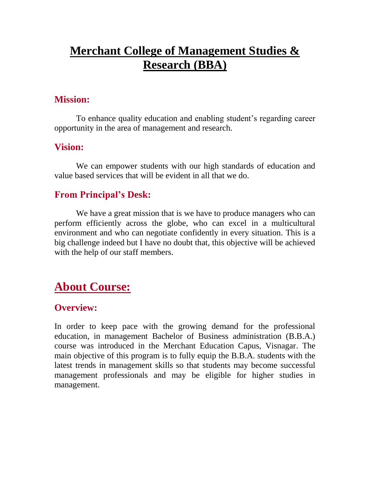# **Merchant College of Management Studies & Research (BBA)**

### **Mission:**

To enhance quality education and enabling student's regarding career opportunity in the area of management and research.

#### **Vision:**

We can empower students with our high standards of education and value based services that will be evident in all that we do.

#### **From Principal's Desk:**

We have a great mission that is we have to produce managers who can perform efficiently across the globe, who can excel in a multicultural environment and who can negotiate confidently in every situation. This is a big challenge indeed but I have no doubt that, this objective will be achieved with the help of our staff members.

# **About Course:**

#### **Overview:**

In order to keep pace with the growing demand for the professional education, in management Bachelor of Business administration (B.B.A.) course was introduced in the Merchant Education Capus, Visnagar. The main objective of this program is to fully equip the B.B.A. students with the latest trends in management skills so that students may become successful management professionals and may be eligible for higher studies in management.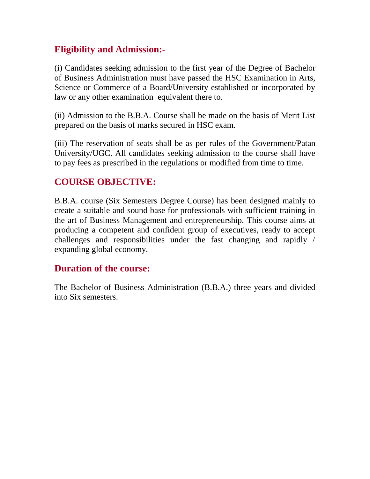## **Eligibility and Admission:**-

(i) Candidates seeking admission to the first year of the Degree of Bachelor of Business Administration must have passed the HSC Examination in Arts, Science or Commerce of a Board/University established or incorporated by law or any other examination equivalent there to.

(ii) Admission to the B.B.A. Course shall be made on the basis of Merit List prepared on the basis of marks secured in HSC exam.

(iii) The reservation of seats shall be as per rules of the Government/Patan University/UGC. All candidates seeking admission to the course shall have to pay fees as prescribed in the regulations or modified from time to time.

## **COURSE OBJECTIVE:**

B.B.A. course (Six Semesters Degree Course) has been designed mainly to create a suitable and sound base for professionals with sufficient training in the art of Business Management and entrepreneurship. This course aims at producing a competent and confident group of executives, ready to accept challenges and responsibilities under the fast changing and rapidly / expanding global economy.

### **Duration of the course:**

The Bachelor of Business Administration (B.B.A.) three years and divided into Six semesters.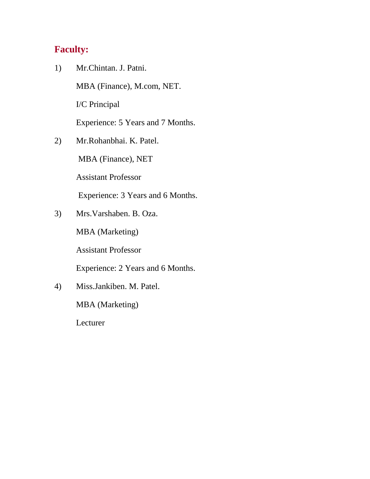## **Faculty:**

1) Mr.Chintan. J. Patni.

MBA (Finance), M.com, NET.

I/C Principal

Experience: 5 Years and 7 Months.

2) Mr.Rohanbhai. K. Patel.

MBA (Finance), NET

Assistant Professor

Experience: 3 Years and 6 Months.

3) Mrs.Varshaben. B. Oza.

MBA (Marketing)

Assistant Professor

Experience: 2 Years and 6 Months.

4) Miss.Jankiben. M. Patel.

MBA (Marketing)

Lecturer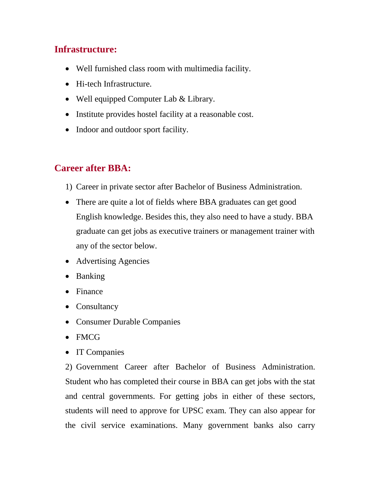## **Infrastructure:**

- Well furnished class room with multimedia facility.
- Hi-tech Infrastructure.
- Well equipped Computer Lab & Library.
- Institute provides hostel facility at a reasonable cost.
- Indoor and outdoor sport facility.

### **Career after BBA:**

- 1) Career in private sector after Bachelor of Business Administration.
- There are quite a lot of fields where BBA graduates can get good English knowledge. Besides this, they also need to have a study. BBA graduate can get jobs as executive trainers or management trainer with any of the sector below.
- Advertising Agencies
- Banking
- Finance
- Consultancy
- Consumer Durable Companies
- FMCG
- IT Companies

2) Government Career after Bachelor of Business Administration. Student who has completed their course in BBA can get jobs with the stat and central governments. For getting jobs in either of these sectors, students will need to approve for UPSC exam. They can also appear for the civil service examinations. Many government banks also carry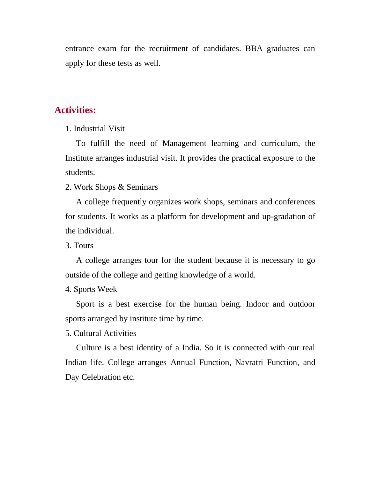entrance exam for the recruitment of candidates. BBA graduates can apply for these tests as well.

#### **Activities:**

1. Industrial Visit

To fulfill the need of Management learning and curriculum, the Institute arranges industrial visit. It provides the practical exposure to the students.

2. Work Shops & Seminars

A college frequently organizes work shops, seminars and conferences for students. It works as a platform for development and up-gradation of the individual.

3. Tours

A college arranges tour for the student because it is necessary to go outside of the college and getting knowledge of a world.

4. Sports Week

Sport is a best exercise for the human being. Indoor and outdoor sports arranged by institute time by time.

5. Cultural Activities

Culture is a best identity of a India. So it is connected with our real Indian life. College arranges Annual Function, Navratri Function, and Day Celebration etc.